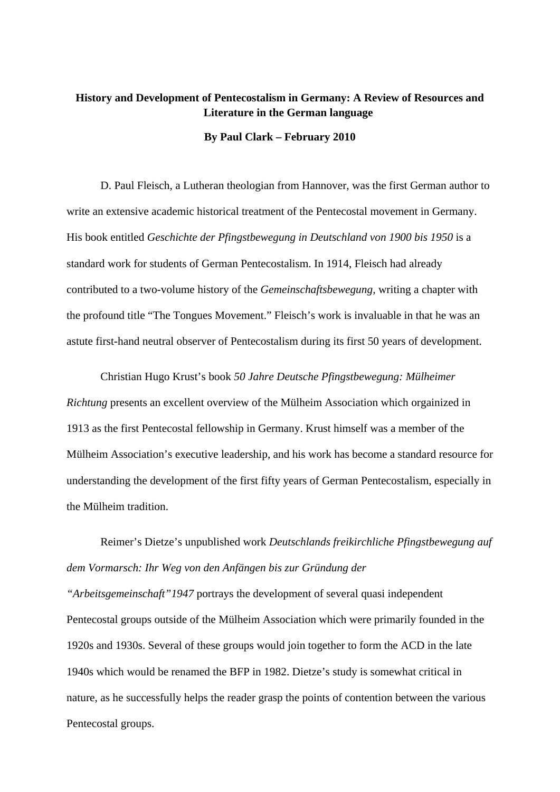## **History and Development of Pentecostalism in Germany: A Review of Resources and Literature in the German language**

## **By Paul Clark – February 2010**

D. Paul Fleisch, a Lutheran theologian from Hannover, was the first German author to write an extensive academic historical treatment of the Pentecostal movement in Germany. His book entitled *Geschichte der Pfingstbewegung in Deutschland von 1900 bis 1950* is a standard work for students of German Pentecostalism. In 1914, Fleisch had already contributed to a two-volume history of the *Gemeinschaftsbewegung,* writing a chapter with the profound title "The Tongues Movement." Fleisch's work is invaluable in that he was an astute first-hand neutral observer of Pentecostalism during its first 50 years of development.

 Christian Hugo Krust's book *50 Jahre Deutsche Pfingstbewegung: Mülheimer Richtung* presents an excellent overview of the Mülheim Association which orgainized in 1913 as the first Pentecostal fellowship in Germany. Krust himself was a member of the Mülheim Association's executive leadership, and his work has become a standard resource for understanding the development of the first fifty years of German Pentecostalism, especially in the Mülheim tradition.

 Reimer's Dietze's unpublished work *Deutschlands freikirchliche Pfingstbewegung auf dem Vormarsch: Ihr Weg von den Anfängen bis zur Gründung der* 

*"Arbeitsgemeinschaft"1947* portrays the development of several quasi independent Pentecostal groups outside of the Mülheim Association which were primarily founded in the 1920s and 1930s. Several of these groups would join together to form the ACD in the late 1940s which would be renamed the BFP in 1982. Dietze's study is somewhat critical in nature, as he successfully helps the reader grasp the points of contention between the various Pentecostal groups.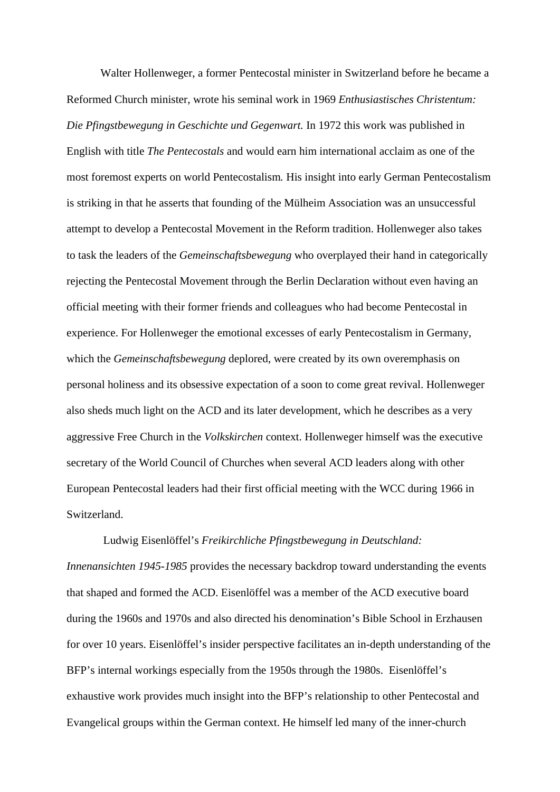Walter Hollenweger, a former Pentecostal minister in Switzerland before he became a Reformed Church minister, wrote his seminal work in 1969 *Enthusiastisches Christentum: Die Pfingstbewegung in Geschichte und Gegenwart.* In 1972 this work was published in English with title *The Pentecostals* and would earn him international acclaim as one of the most foremost experts on world Pentecostalism*.* His insight into early German Pentecostalism is striking in that he asserts that founding of the Mülheim Association was an unsuccessful attempt to develop a Pentecostal Movement in the Reform tradition. Hollenweger also takes to task the leaders of the *Gemeinschaftsbewegung* who overplayed their hand in categorically rejecting the Pentecostal Movement through the Berlin Declaration without even having an official meeting with their former friends and colleagues who had become Pentecostal in experience. For Hollenweger the emotional excesses of early Pentecostalism in Germany, which the *Gemeinschaftsbewegung* deplored, were created by its own overemphasis on personal holiness and its obsessive expectation of a soon to come great revival. Hollenweger also sheds much light on the ACD and its later development, which he describes as a very aggressive Free Church in the *Volkskirchen* context. Hollenweger himself was the executive secretary of the World Council of Churches when several ACD leaders along with other European Pentecostal leaders had their first official meeting with the WCC during 1966 in Switzerland.

 Ludwig Eisenlöffel's *Freikirchliche Pfingstbewegung in Deutschland: Innenansichten 1945-1985* provides the necessary backdrop toward understanding the events that shaped and formed the ACD. Eisenlöffel was a member of the ACD executive board during the 1960s and 1970s and also directed his denomination's Bible School in Erzhausen for over 10 years. Eisenlöffel's insider perspective facilitates an in-depth understanding of the BFP's internal workings especially from the 1950s through the 1980s. Eisenlöffel's exhaustive work provides much insight into the BFP's relationship to other Pentecostal and Evangelical groups within the German context. He himself led many of the inner-church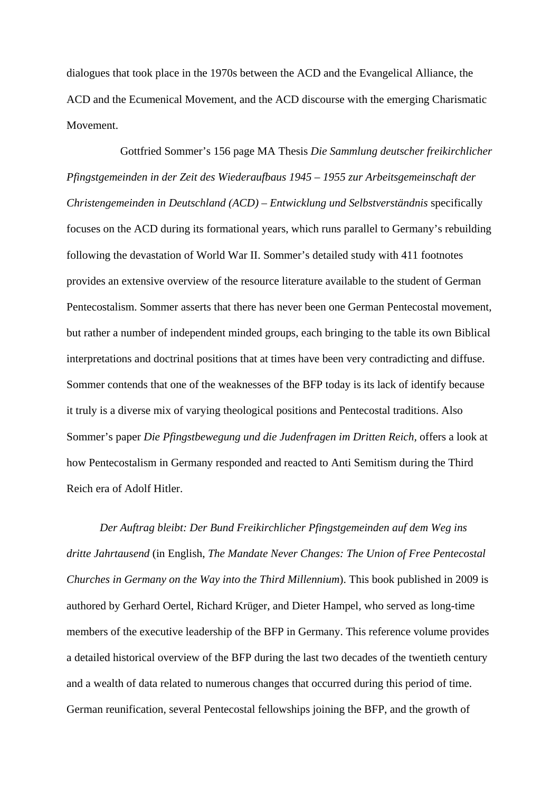dialogues that took place in the 1970s between the ACD and the Evangelical Alliance, the ACD and the Ecumenical Movement, and the ACD discourse with the emerging Charismatic Movement.

 Gottfried Sommer's 156 page MA Thesis *Die Sammlung deutscher freikirchlicher Pfingstgemeinden in der Zeit des Wiederaufbaus 1945 – 1955 zur Arbeitsgemeinschaft der Christengemeinden in Deutschland (ACD) – Entwicklung und Selbstverständnis* specifically focuses on the ACD during its formational years, which runs parallel to Germany's rebuilding following the devastation of World War II. Sommer's detailed study with 411 footnotes provides an extensive overview of the resource literature available to the student of German Pentecostalism. Sommer asserts that there has never been one German Pentecostal movement, but rather a number of independent minded groups, each bringing to the table its own Biblical interpretations and doctrinal positions that at times have been very contradicting and diffuse. Sommer contends that one of the weaknesses of the BFP today is its lack of identify because it truly is a diverse mix of varying theological positions and Pentecostal traditions. Also Sommer's paper *Die Pfingstbewegung und die Judenfragen im Dritten Reich*, offers a look at how Pentecostalism in Germany responded and reacted to Anti Semitism during the Third Reich era of Adolf Hitler.

*Der Auftrag bleibt: Der Bund Freikirchlicher Pfingstgemeinden auf dem Weg ins dritte Jahrtausend* (in English, *The Mandate Never Changes: The Union of Free Pentecostal Churches in Germany on the Way into the Third Millennium*). This book published in 2009 is authored by Gerhard Oertel, Richard Krüger, and Dieter Hampel, who served as long-time members of the executive leadership of the BFP in Germany. This reference volume provides a detailed historical overview of the BFP during the last two decades of the twentieth century and a wealth of data related to numerous changes that occurred during this period of time. German reunification, several Pentecostal fellowships joining the BFP, and the growth of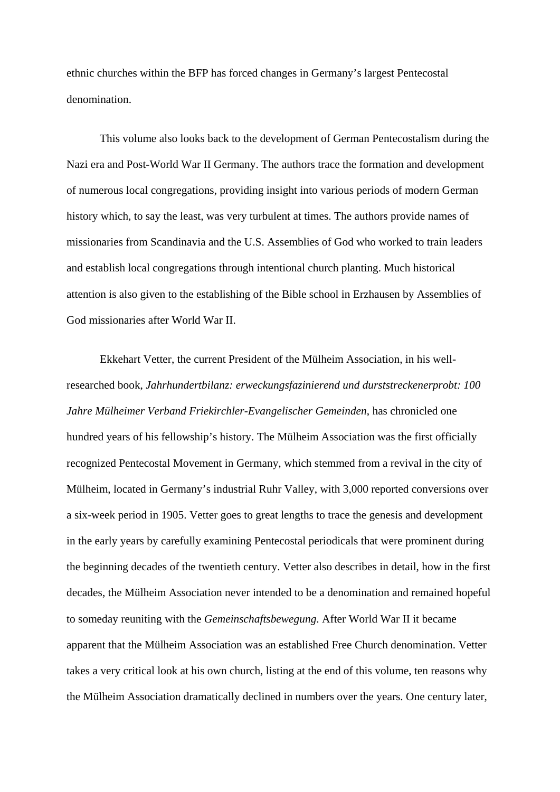ethnic churches within the BFP has forced changes in Germany's largest Pentecostal denomination.

This volume also looks back to the development of German Pentecostalism during the Nazi era and Post-World War II Germany. The authors trace the formation and development of numerous local congregations, providing insight into various periods of modern German history which, to say the least, was very turbulent at times. The authors provide names of missionaries from Scandinavia and the U.S. Assemblies of God who worked to train leaders and establish local congregations through intentional church planting. Much historical attention is also given to the establishing of the Bible school in Erzhausen by Assemblies of God missionaries after World War II.

Ekkehart Vetter, the current President of the Mülheim Association, in his wellresearched book, *Jahrhundertbilanz: erweckungsfazinierend und durststreckenerprobt: 100 Jahre Mülheimer Verband Friekirchler-Evangelischer Gemeinden*, has chronicled one hundred years of his fellowship's history. The Mülheim Association was the first officially recognized Pentecostal Movement in Germany, which stemmed from a revival in the city of Mülheim, located in Germany's industrial Ruhr Valley, with 3,000 reported conversions over a six-week period in 1905. Vetter goes to great lengths to trace the genesis and development in the early years by carefully examining Pentecostal periodicals that were prominent during the beginning decades of the twentieth century. Vetter also describes in detail, how in the first decades, the Mülheim Association never intended to be a denomination and remained hopeful to someday reuniting with the *Gemeinschaftsbewegung*. After World War II it became apparent that the Mülheim Association was an established Free Church denomination. Vetter takes a very critical look at his own church, listing at the end of this volume, ten reasons why the Mülheim Association dramatically declined in numbers over the years. One century later,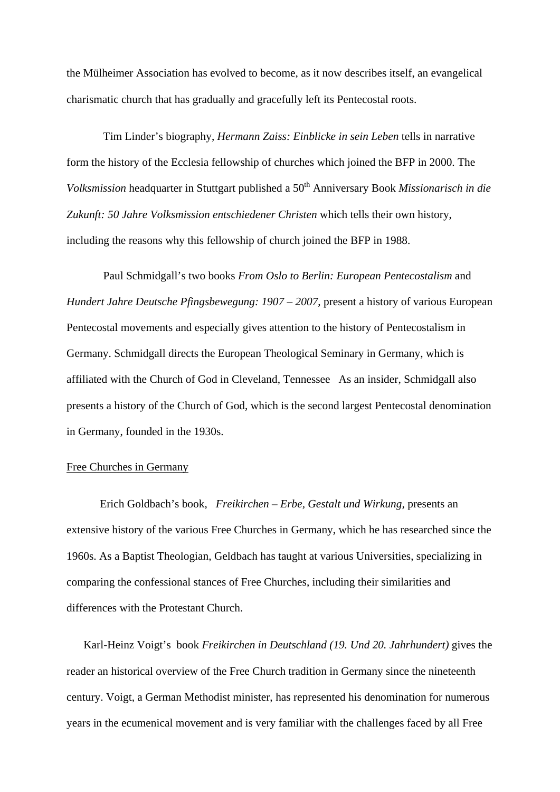the Mülheimer Association has evolved to become, as it now describes itself, an evangelical charismatic church that has gradually and gracefully left its Pentecostal roots.

 Tim Linder's biography, *Hermann Zaiss: Einblicke in sein Leben* tells in narrative form the history of the Ecclesia fellowship of churches which joined the BFP in 2000. The *Volksmission* headquarter in Stuttgart published a 50<sup>th</sup> Anniversary Book *Missionarisch in die Zukunft: 50 Jahre Volksmission entschiedener Christen* which tells their own history, including the reasons why this fellowship of church joined the BFP in 1988.

 Paul Schmidgall's two books *From Oslo to Berlin: European Pentecostalism* and *Hundert Jahre Deutsche Pfingsbewegung: 1907 – 2007*, present a history of various European Pentecostal movements and especially gives attention to the history of Pentecostalism in Germany. Schmidgall directs the European Theological Seminary in Germany, which is affiliated with the Church of God in Cleveland, Tennessee As an insider, Schmidgall also presents a history of the Church of God, which is the second largest Pentecostal denomination in Germany, founded in the 1930s.

## Free Churches in Germany

Erich Goldbach's book, *Freikirchen – Erbe, Gestalt und Wirkung,* presents an extensive history of the various Free Churches in Germany, which he has researched since the 1960s. As a Baptist Theologian, Geldbach has taught at various Universities, specializing in comparing the confessional stances of Free Churches, including their similarities and differences with the Protestant Church.

Karl-Heinz Voigt's book *Freikirchen in Deutschland (19. Und 20. Jahrhundert)* gives the reader an historical overview of the Free Church tradition in Germany since the nineteenth century. Voigt, a German Methodist minister, has represented his denomination for numerous years in the ecumenical movement and is very familiar with the challenges faced by all Free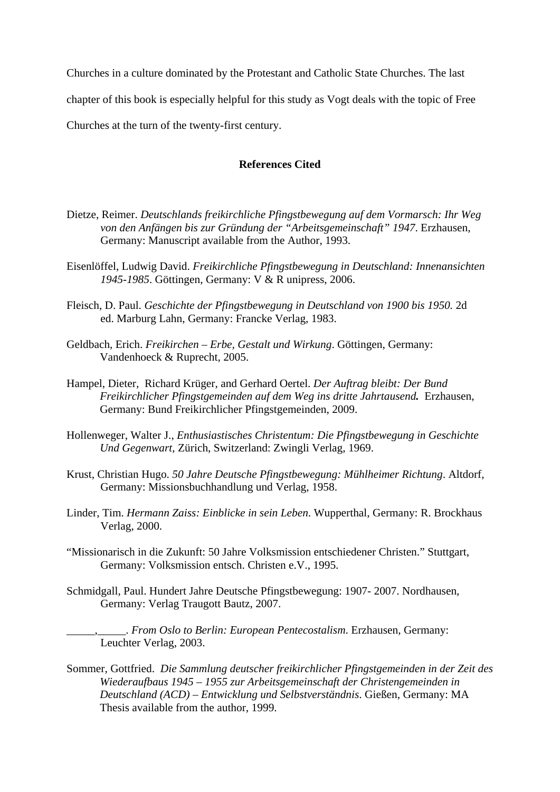Churches in a culture dominated by the Protestant and Catholic State Churches. The last

chapter of this book is especially helpful for this study as Vogt deals with the topic of Free

Churches at the turn of the twenty-first century.

## **References Cited**

- Dietze, Reimer. *Deutschlands freikirchliche Pfingstbewegung auf dem Vormarsch: Ihr Weg von den Anfängen bis zur Gründung der "Arbeitsgemeinschaft" 1947*. Erzhausen, Germany: Manuscript available from the Author, 1993.
- Eisenlöffel, Ludwig David. *Freikirchliche Pfingstbewegung in Deutschland: Innenansichten 1945-1985*. Göttingen, Germany: V & R unipress, 2006.
- Fleisch, D. Paul. *Geschichte der Pfingstbewegung in Deutschland von 1900 bis 1950.* 2d ed. Marburg Lahn, Germany: Francke Verlag, 1983.
- Geldbach, Erich. *Freikirchen Erbe, Gestalt und Wirkung*. Göttingen, Germany: Vandenhoeck & Ruprecht, 2005.
- Hampel, Dieter, Richard Krüger, and Gerhard Oertel. *Der Auftrag bleibt: Der Bund Freikirchlicher Pfingstgemeinden auf dem Weg ins dritte Jahrtausend.* Erzhausen, Germany: Bund Freikirchlicher Pfingstgemeinden, 2009.
- Hollenweger, Walter J., *Enthusiastisches Christentum: Die Pfingstbewegung in Geschichte Und Gegenwart*, Zürich, Switzerland: Zwingli Verlag, 1969.
- Krust, Christian Hugo. *50 Jahre Deutsche Pfingstbewegung: Mühlheimer Richtung*. Altdorf, Germany: Missionsbuchhandlung und Verlag, 1958.
- Linder, Tim. *Hermann Zaiss: Einblicke in sein Leben*. Wupperthal, Germany: R. Brockhaus Verlag, 2000.
- "Missionarisch in die Zukunft: 50 Jahre Volksmission entschiedener Christen." Stuttgart, Germany: Volksmission entsch. Christen e.V., 1995.
- Schmidgall, Paul. Hundert Jahre Deutsche Pfingstbewegung: 1907- 2007. Nordhausen, Germany: Verlag Traugott Bautz, 2007.

\_\_\_\_\_,\_\_\_\_\_. *From Oslo to Berlin: European Pentecostalism*. Erzhausen, Germany: Leuchter Verlag, 2003.

Sommer, Gottfried. *Die Sammlung deutscher freikirchlicher Pfingstgemeinden in der Zeit des Wiederaufbaus 1945 – 1955 zur Arbeitsgemeinschaft der Christengemeinden in Deutschland (ACD) – Entwicklung und Selbstverständnis*. Gießen, Germany: MA Thesis available from the author, 1999.